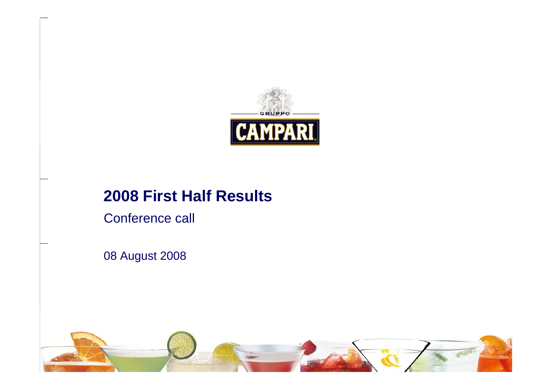

## **2008 First Half Results**

Conference call

08 August 2008

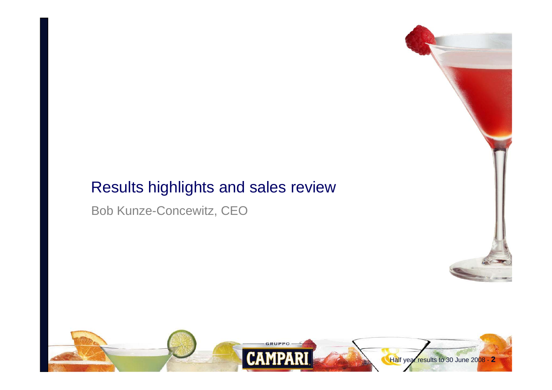## Results highlights and sales review

Bob Kunze-Concewitz, CEO



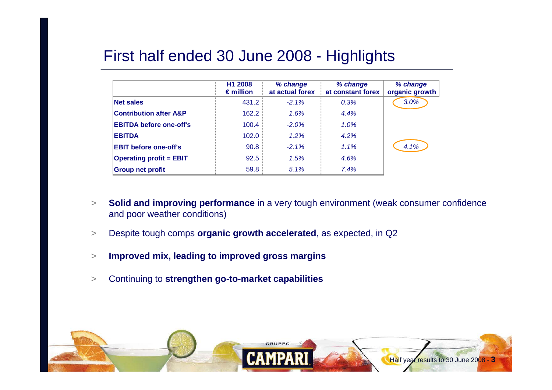## First half ended 30 June 2008 - Highlights

|                                   | H <sub>1</sub> 2008<br>$\epsilon$ million | % change<br>at actual forex | % change<br>at constant forex | % change<br>organic growth |
|-----------------------------------|-------------------------------------------|-----------------------------|-------------------------------|----------------------------|
| <b>Net sales</b>                  | 431.2                                     | $-2.1\%$                    | 0.3%                          | 3.0%                       |
| <b>Contribution after A&amp;P</b> | 162.2                                     | 1.6%                        | 4.4%                          |                            |
| <b>EBITDA before one-off's</b>    | 100.4                                     | $-2.0%$                     | 1.0%                          |                            |
| <b>EBITDA</b>                     | 102.0                                     | 1.2%                        | 4.2%                          |                            |
| <b>EBIT before one-off's</b>      | 90.8                                      | $-2.1\%$                    | $1.1\%$                       | 4.1%                       |
| <b>Operating profit = EBIT</b>    | 92.5                                      | 1.5%                        | 4.6%                          |                            |
| <b>Group net profit</b>           | 59.8                                      | 5.1%                        | 7.4%                          |                            |

- > **Solid and improving performance** in a very tough environment (weak consumer confidence and poor weather conditions)
- >Despite tough comps **organic growth accelerated**, as expected, in Q2
- >**Improved mix, leading to improved gross margins**
- >Continuing to **strengthen go-to-market capabilities**

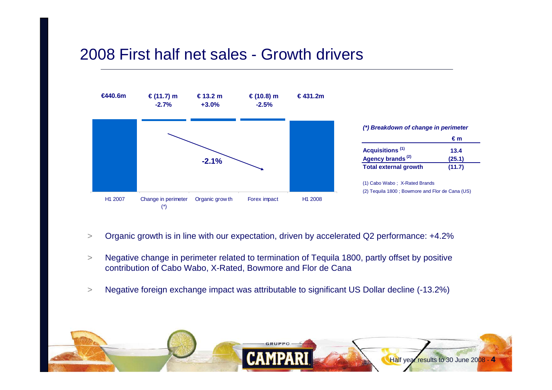## 2008 First half net sales - Growth drivers



- >Organic growth is in line with our expectation, driven by accelerated Q2 performance: +4.2%
- > Negative change in perimeter related to termination of Tequila 1800, partly offset by positive contribution of Cabo Wabo, X-Rated, Bowmore and Flor de Cana
- >Negative foreign exchange impact was attributable to significant US Dollar decline (-13.2%)

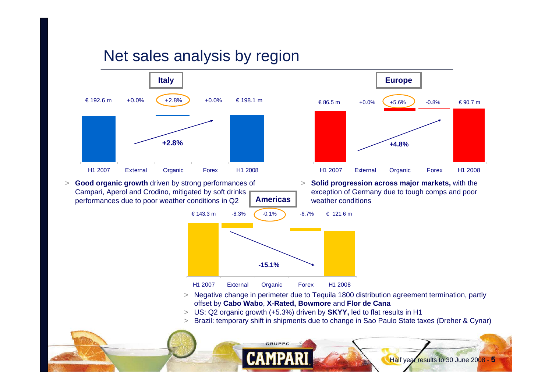## Net sales analysis by region

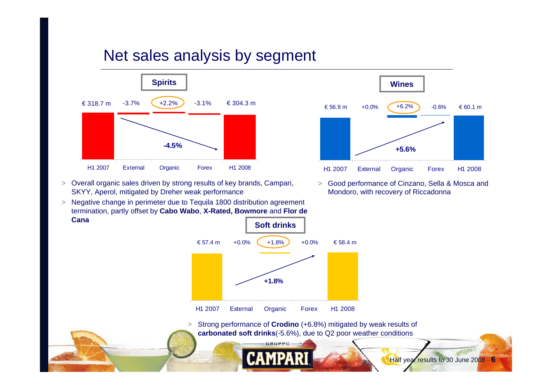## Net sales analysis by segment



> Overall organic sales driven by strong results of key brands, Campari, SKYY, Aperol, mitigated by Dreher weak performance

 $>$  Negative change in perimeter due to Tequila 1800 distribution agreement termination, partly offset by **Cabo Wabo**, **X-Rated, Bowmore** and **Flor de Cana**



> Good performance of Cinzano, Sella & Mosca and Mondoro, with recovery of Riccadonna



 $>$  Strong performance of **Crodino** (+6.8%) mitigated by weak results of **carbonated soft drinks**(-5.6%), due to Q2 poor weather conditions

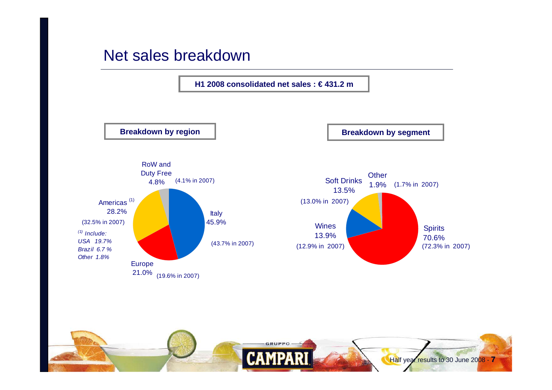### Net sales breakdown

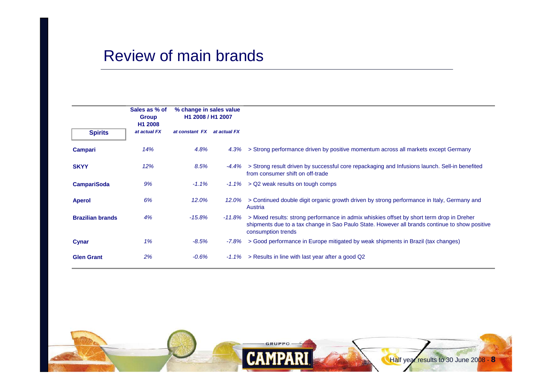### Review of main brands

|                         | Sales as % of<br><b>Group</b><br>H <sub>1</sub> 2008 | % change in sales value<br>H1 2008 / H1 2007 |              |                                                                                                                                                                                                                          |
|-------------------------|------------------------------------------------------|----------------------------------------------|--------------|--------------------------------------------------------------------------------------------------------------------------------------------------------------------------------------------------------------------------|
| <b>Spirits</b>          | at actual FX                                         | at constant FX                               | at actual FX |                                                                                                                                                                                                                          |
| <b>Campari</b>          | 14%                                                  | 4.8%                                         | 4.3%         | > Strong performance driven by positive momentum across all markets except Germany                                                                                                                                       |
| <b>SKYY</b>             | 12%                                                  | 8.5%                                         |              | $-4.4\%$ > Strong result driven by successful core repackaging and Infusions launch. Sell-in benefited<br>from consumer shift on off-trade                                                                               |
| <b>CampariSoda</b>      | 9%                                                   | $-1.1\%$                                     | -1.1%        | > Q2 weak results on tough comps                                                                                                                                                                                         |
| <b>Aperol</b>           | 6%                                                   | 12.0%                                        | 12.0%        | > Continued double digit organic growth driven by strong performance in Italy, Germany and<br>Austria                                                                                                                    |
| <b>Brazilian brands</b> | 4%                                                   | $-15.8\%$                                    |              | -11.8% > Mixed results: strong performance in admix whiskies offset by short term drop in Dreher<br>shipments due to a tax change in Sao Paulo State. However all brands continue to show positive<br>consumption trends |
| Cynar                   | 1%                                                   | $-8.5%$                                      | -7.8%        | > Good performance in Europe mitigated by weak shipments in Brazil (tax changes)                                                                                                                                         |
| <b>Glen Grant</b>       | 2%                                                   | -0.6%                                        | $-1.1\%$     | > Results in line with last year after a good Q2                                                                                                                                                                         |

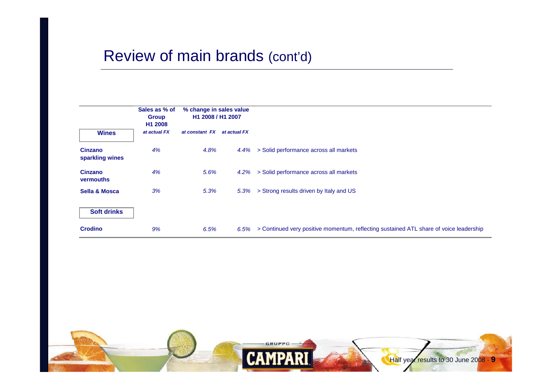## Review of main brands (cont'd)

|                                    | Sales as % of<br><b>Group</b><br>H <sub>1</sub> 2008 | % change in sales value<br>H1 2008 / H1 2007 |              |                                                                                        |
|------------------------------------|------------------------------------------------------|----------------------------------------------|--------------|----------------------------------------------------------------------------------------|
| <b>Wines</b>                       | at actual FX                                         | at constant FX                               | at actual FX |                                                                                        |
| <b>Cinzano</b><br>sparkling wines  | 4%                                                   | 4.8%                                         | 4.4%         | > Solid performance across all markets                                                 |
| <b>Cinzano</b><br><b>vermouths</b> | 4%                                                   | 5.6%                                         | 4.2%         | > Solid performance across all markets                                                 |
| <b>Sella &amp; Mosca</b>           | 3%                                                   | 5.3%                                         | 5.3%         | > Strong results driven by Italy and US                                                |
| <b>Soft drinks</b>                 |                                                      |                                              |              |                                                                                        |
| <b>Crodino</b>                     | 9%                                                   | 6.5%                                         | 6.5%         | > Continued very positive momentum, reflecting sustained ATL share of voice leadership |

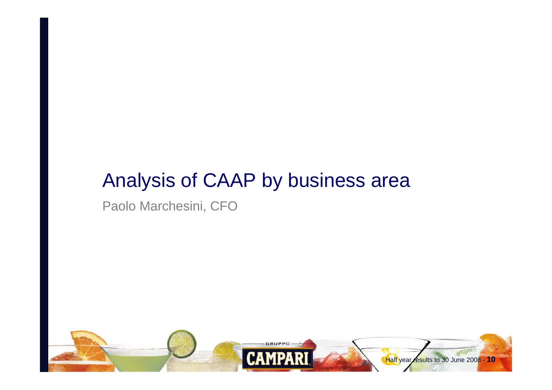# Analysis of CAAP by business area

Paolo Marchesini, CFO

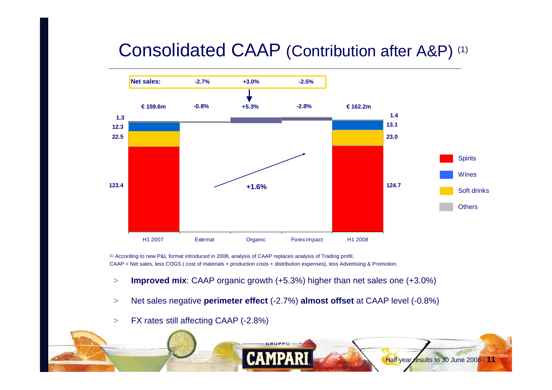# Consolidated CAAP (Contribution after A&P) (1)



(1) According to new P&L format introduced in 2008, analysis of CAAP replaces analysis of Trading profit. CAAP = Net sales, less COGS ( cost of materials + production costs + distribution expenses), less Advertising & Promotion.

- >**Improved mix**: CAAP organic growth (+5.3%) higher than net sales one (+3.0%)
- >Net sales negative **perimeter effect** (-2.7%) **almost offset** at CAAP level (-0.8%)
- >FX rates still affecting CAAP (-2.8%)

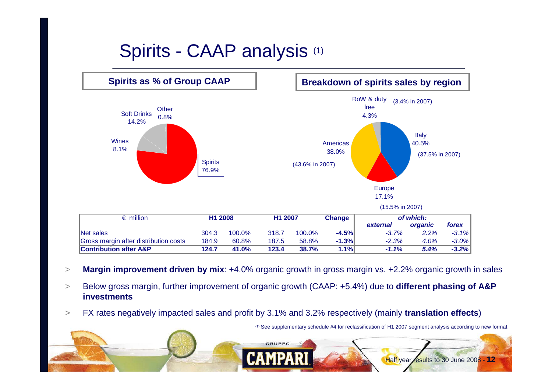# Spirits - CAAP analysis (1)



- >**Margin improvement driven by mix**: +4.0% organic growth in gross margin vs. +2.2% organic growth in sales
- $>$  Below gross margin, further improvement of organic growth (CAAP: +5.4%) due to **different phasing of A&P investments**
- $>$ FX rates negatively impacted sales and profit by 3.1% and 3.2% respectively (mainly **translation effects**)

(1) See supplementary schedule #4 for reclassification of H1 2007 segment analysis according to new format

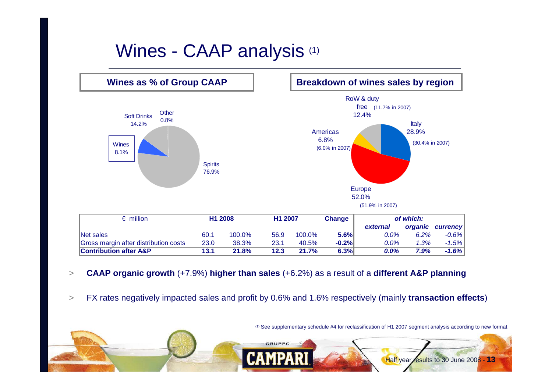# Wines - CAAP analysis (1)



- >**CAAP organic growth** (+7.9%) **higher than sales** (+6.2%) as a result of a **different A&P planning**
- >FX rates negatively impacted sales and profit by 0.6% and 1.6% respectively (mainly **transaction effects**)

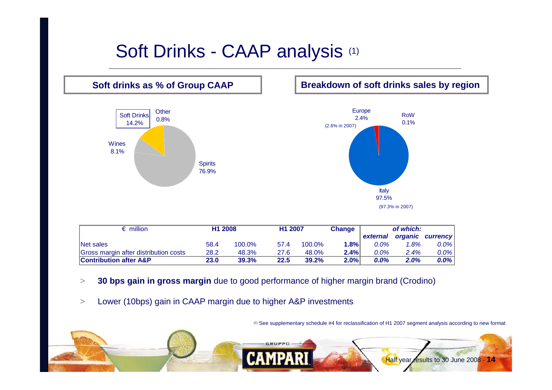# Soft Drinks - CAAP analysis (1)



| $\epsilon$ million                    | H <sub>1</sub> 2008 |        | H1 2007 |        | <b>Change</b> |          | of which: |                  |
|---------------------------------------|---------------------|--------|---------|--------|---------------|----------|-----------|------------------|
|                                       |                     |        |         |        |               | external |           | organic currency |
| Net sales                             | 58.4                | 100.0% | 57.4    | 100.0% | 1.8%          | $0.0\%$  | 1.8%      | 0.0%             |
| Gross margin after distribution costs | 28.2                | 48.3%  | 27.6    | 48.0%  | 2.4%          | $0.0\%$  | 2.4%      | 0.0%             |
| <b>Contribution after A&amp;P</b>     | 23.0                | 39.3%  | 22.5    | 39.2%  | 2.0%          | $0.0\%$  | 2.0%      | 0.0%             |

- $>$ **30 bps gain in gross margin** due to good performance of higher margin brand (Crodino)
- $\geq$ Lower (10bps) gain in CAAP margin due to higher A&P investments

(1) See supplementary schedule #4 for reclassification of H1 2007 segment analysis according to new format

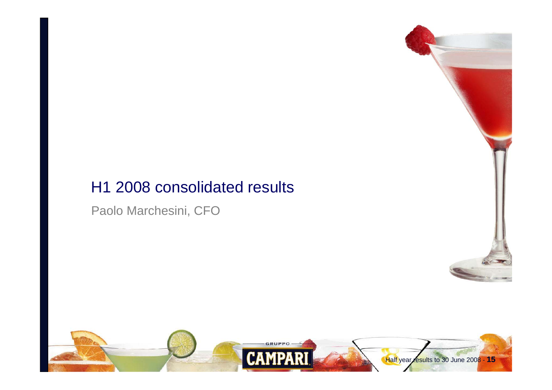## H1 2008 consolidated results

Paolo Marchesini, CFO



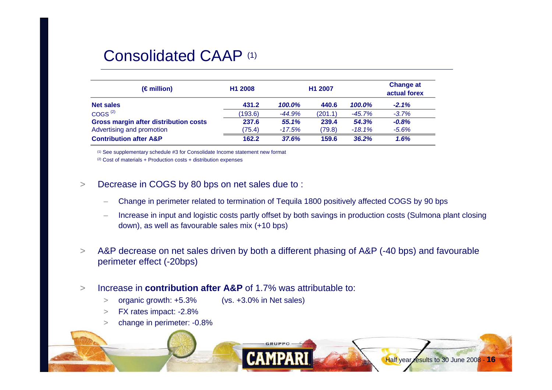### Consolidated CAAP (1)

| (€million)                                   | H1 2008 | H1 2007  | <b>Change at</b><br>actual forex |          |          |
|----------------------------------------------|---------|----------|----------------------------------|----------|----------|
| <b>Net sales</b>                             | 431.2   | 100.0%   | 440.6                            | 100.0%   | $-2.1%$  |
| COGS <sup>(2)</sup>                          | (193.6) | $-44.9%$ | (201.1)                          | -45.7%   | $-3.7%$  |
| <b>Gross margin after distribution costs</b> | 237.6   | 55.1%    | 239.4                            | 54.3%    | $-0.8\%$ |
| Advertising and promotion                    | (75.4)  | $-17.5%$ | (79.8)                           | $-18.1%$ | $-5.6%$  |
| <b>Contribution after A&amp;P</b>            | 162.2   | 37.6%    | 159.6                            | 36.2%    | 1.6%     |

(1) See supplementary schedule #3 for Consolidate Income statement new format

(2) Cost of materials + Production costs + distribution expenses

- $\geq$  Decrease in COGS by 80 bps on net sales due to :
	- Change in perimeter related to termination of Tequila 1800 positively affected COGS by 90 bps
	- Increase in input and logistic costs partly offset by both savings in production costs (Sulmona plant closing down), as well as favourable sales mix (+10 bps)
- $>$  A&P decrease on net sales driven by both a different phasing of A&P (-40 bps) and favourable perimeter effect (-20bps)
- > Increase in **contribution after A&P** of 1.7% was attributable to:
	- >organic growth: +5.3% (vs. +3.0% in Net sales)
	- >FX rates impact: -2.8%
	- >change in perimeter: -0.8%

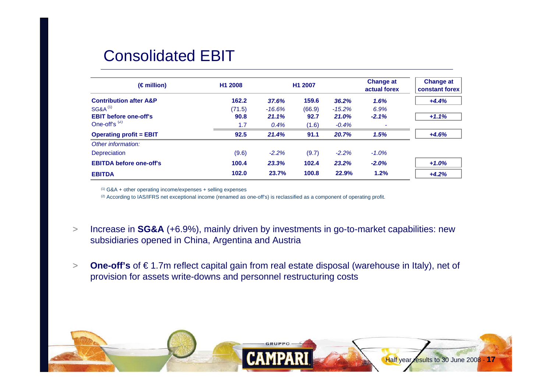## Consolidated EBIT

| $(\epsilon$ million)              | H <sub>1</sub> 2008 |          | H <sub>1</sub> 2007 |          | <b>Change at</b><br>actual forex | <b>Change at</b><br><b>constant forex</b> |
|-----------------------------------|---------------------|----------|---------------------|----------|----------------------------------|-------------------------------------------|
| <b>Contribution after A&amp;P</b> | 162.2               | 37.6%    | 159.6               | 36.2%    | 1.6%                             | $+4.4%$                                   |
| <b>SG&amp;A<sup>(1)</sup></b>     | (71.5)              | $-16.6%$ | (66.9)              | $-15.2%$ | 6.9%                             |                                           |
| <b>EBIT before one-off's</b>      | 90.8                | 21.1%    | 92.7                | 21.0%    | $-2.1%$                          | $+1.1%$                                   |
| One-off's $(2)$                   | 1.7                 | 0.4%     | (1.6)               | $-0.4%$  | $\overline{\phantom{a}}$         |                                           |
| <b>Operating profit = EBIT</b>    | 92.5                | 21.4%    | 91.1                | 20.7%    | 1.5%                             | $+4.6%$                                   |
| Other information:                |                     |          |                     |          |                                  |                                           |
| Depreciation                      | (9.6)               | $-2.2%$  | (9.7)               | $-2.2%$  | $-1.0%$                          |                                           |
| <b>EBITDA before one-off's</b>    | 100.4               | 23.3%    | 102.4               | 23.2%    | $-2.0%$                          | $+1.0%$                                   |
| <b>EBITDA</b>                     | 102.0               | 23.7%    | 100.8               | 22.9%    | 1.2%                             | $+4.2%$                                   |

(1) G&A + other operating income/expenses + selling expenses

(2) According to IAS/IFRS net exceptional income (renamed as one-off's) is reclassified as a component of operating profit.

- >> Increase in SG&A (+6.9%), mainly driven by investments in go-to-market capabilities: new subsidiaries opened in China, Argentina and Austria
- > **One-off's** of € 1.7m reflect capital gain from real estate disposal (warehouse in Italy), net of provision for assets write-downs and personnel restructuring costs

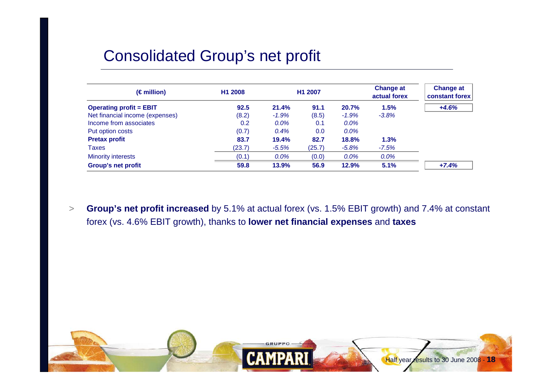## Consolidated Group's net profit

| $(\epsilon$ million)            | H <sub>1</sub> 2008 |          | H1 2007 |         | <b>Change at</b><br>actual forex | <b>Change at</b><br><b>constant forex</b> |
|---------------------------------|---------------------|----------|---------|---------|----------------------------------|-------------------------------------------|
| <b>Operating profit = EBIT</b>  | 92.5                | 21.4%    | 91.1    | 20.7%   | 1.5%                             | $+4.6%$                                   |
| Net financial income (expenses) | (8.2)               | $-1.9%$  | (8.5)   | $-1.9%$ | $-3.8%$                          |                                           |
| Income from associates          | 0.2                 | $0.0\%$  | 0.1     | $0.0\%$ |                                  |                                           |
| Put option costs                | (0.7)               | 0.4%     | 0.0     | 0.0%    |                                  |                                           |
| <b>Pretax profit</b>            | 83.7                | 19.4%    | 82.7    | 18.8%   | 1.3%                             |                                           |
| <b>Taxes</b>                    | (23.7)              | $-5.5\%$ | (25.7)  | $-5.8%$ | -7.5%                            |                                           |
| <b>Minority interests</b>       | (0.1)               | $0.0\%$  | (0.0)   | $0.0\%$ | $0.0\%$                          |                                           |
| <b>Group's net profit</b>       | 59.8                | 13.9%    | 56.9    | 12.9%   | 5.1%                             | $+7.4%$                                   |

 $>$  **Group's net profit increased** by 5.1% at actual forex (vs. 1.5% EBIT growth) and 7.4% at constant forex (vs. 4.6% EBIT growth), thanks to **lower net financial expenses** and **taxes**

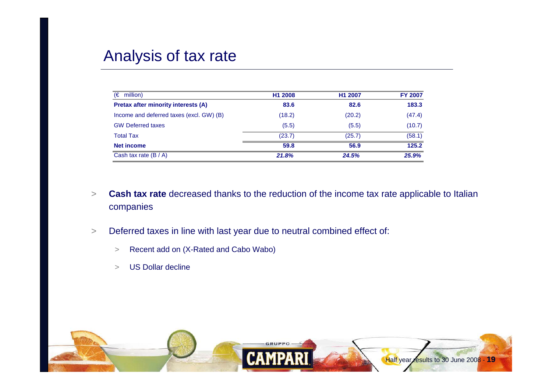## Analysis of tax rate

| (€<br>million)                             | H1 2008 | H1 2007 | <b>FY 2007</b> |
|--------------------------------------------|---------|---------|----------------|
| <b>Pretax after minority interests (A)</b> | 83.6    | 82.6    | 183.3          |
| Income and deferred taxes (excl. GW) (B)   | (18.2)  | (20.2)  | (47.4)         |
| <b>GW Deferred taxes</b>                   | (5.5)   | (5.5)   | (10.7)         |
| <b>Total Tax</b>                           | (23.7)  | (25.7)  | (58.1)         |
| <b>Net income</b>                          | 59.8    | 56.9    | 125.2          |
| Cash tax rate $(B / A)$                    | 21.8%   | 24.5%   | 25.9%          |

- $\geq$  **Cash tax rate** decreased thanks to the reduction of the income tax rate applicable to Italian companies
- > Deferred taxes in line with last year due to neutral combined effect of:
	- $\,>$ Recent add on (X-Rated and Cabo Wabo)
	- >US Dollar decline

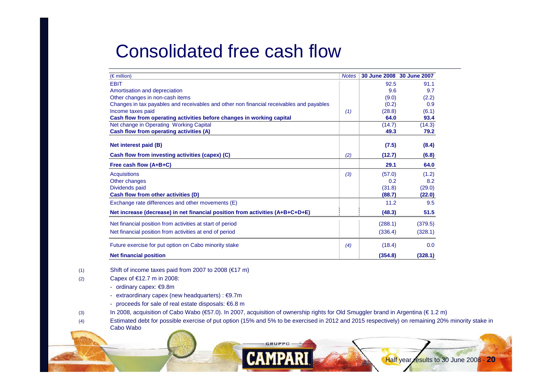## Consolidated free cash flow

| $(\epsilon$ million)                                                                     |     | Notes 30 June 2008 30 June 2007 |         |
|------------------------------------------------------------------------------------------|-----|---------------------------------|---------|
| <b>EBIT</b>                                                                              |     | 92.5                            | 91.1    |
| Amortisation and depreciation                                                            |     | 9.6                             | 9.7     |
| Other changes in non-cash items                                                          |     | (9.0)                           | (2.2)   |
| Changes in tax payables and receivables and other non financial receivables and payables |     | (0.2)                           | 0.9     |
| Income taxes paid                                                                        | (1) | (28.8)                          | (6.1)   |
| Cash flow from operating activities before changes in working capital                    |     | 64.0                            | 93.4    |
| Net change in Operating Working Capital                                                  |     | (14.7)                          | (14.3)  |
| Cash flow from operating activities (A)                                                  |     | 49.3                            | 79.2    |
| Net interest paid (B)                                                                    |     | (7.5)                           | (8.4)   |
| Cash flow from investing activities (capex) (C)                                          | (2) | (12.7)                          | (6.8)   |
| Free cash flow (A+B+C)                                                                   |     | 29.1                            | 64.0    |
| <b>Acquisitions</b>                                                                      | (3) | (57.0)                          | (1.2)   |
| Other changes                                                                            |     | 0.2                             | 8.2     |
| Dividends paid                                                                           |     | (31.8)                          | (29.0)  |
| Cash flow from other activities (D)                                                      |     | (88.7)                          | (22.0)  |
| Exchange rate differences and other movements (E)                                        |     | 11.2                            | 9.5     |
| Net increase (decrease) in net financial position from activities (A+B+C+D+E)            |     | (48.3)                          | 51.5    |
| Net financial position from activities at start of period                                |     | (288.1)                         | (379.5) |
| Net financial position from activities at end of period                                  |     | (336.4)                         | (328.1) |
| Future exercise for put option on Cabo minority stake                                    | (4) | (18.4)                          | 0.0     |
| <b>Net financial position</b>                                                            |     | (354.8)                         | (328.1) |

(1) Shift of income taxes paid from 2007 to 2008  $(€17 m)$ 

(2) Capex of €12.7 m in 2008:

- ordinary capex: €9.8m
- extraordinary capex (new headquarters) : €9.7m
- proceeds for sale of real estate disposals: €6.8 m
- (3) In 2008, acquisition of Cabo Wabo (€57.0). In 2007, acquisition of ownership rights for Old Smuggler brand in Argentina (€ 1.2 m)

**GRUPPO** 

(4) Estimated debt for possible exercise of put option (15% and 5% to be exercised in 2012 and 2015 respectively) on remaining 20% minority stake in Cabo Wabo

Half year results to 30 June 2008 - **20**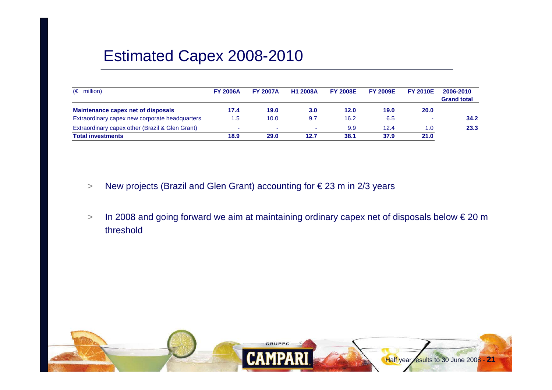## Estimated Capex 2008-2010

| $(\epsilon$ million)                            | <b>FY 2006A</b> | <b>FY 2007A</b> | <b>H1 2008A</b>  | <b>FY 2008E</b> | <b>FY 2009E</b> | <b>FY 2010E</b> | 2006-2010<br><b>Grand total</b> |
|-------------------------------------------------|-----------------|-----------------|------------------|-----------------|-----------------|-----------------|---------------------------------|
| Maintenance capex net of disposals              | 17.4            | 19.0            | 3.0 <sub>1</sub> | 12.0            | 19.0            | 20.0            |                                 |
| Extraordinary capex new corporate headquarters  | .5              | 10.0            | 9.7              | 16.2            | 6.5             |                 | 34.2                            |
| Extraordinary capex other (Brazil & Glen Grant) |                 |                 |                  | 9.9             | 12.4            | 1.0             | 23.3                            |
| <b>Total investments</b>                        | 18.9            | 29.0            | 12.7             | 38.1            | 37.9            | 21.0            |                                 |

- >New projects (Brazil and Glen Grant) accounting for € 23 m in 2/3 years
- > In 2008 and going forward we aim at maintaining ordinary capex net of disposals below € 20 m threshold

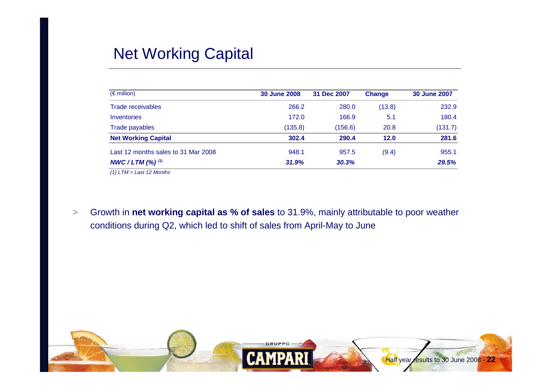## Net Working Capital

| $(\epsilon$ million)                | <b>30 June 2008</b> | 31 Dec 2007 | <b>Change</b> | <b>30 June 2007</b> |
|-------------------------------------|---------------------|-------------|---------------|---------------------|
| <b>Trade receivables</b>            | 266.2               | 280.0       | (13.8)        | 232.9               |
| Inventories                         | 172.0               | 166.9       | 5.1           | 180.4               |
| Trade payables                      | (135.8)             | (156.6)     | 20.8          | (131.7)             |
| <b>Net Working Capital</b>          | 302.4               | 290.4       | 12.0          | 281.6               |
| Last 12 months sales to 31 Mar 2008 | 948.1               | 957.5       | (9.4)         | 955.1               |
| NWC / LTM $(%)$ <sup>(1)</sup>      | 31.9%               | 30.3%       |               | 29.5%               |

*(1) LTM = Last 12 Months* 

> Growth in **net working capital as % of sales** to 31.9%, mainly attributable to poor weather conditions during Q2, which led to shift of sales from April-May to June

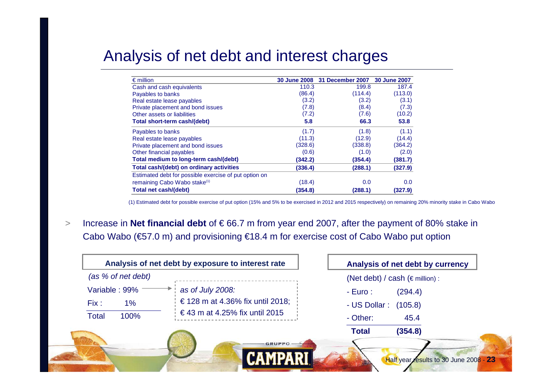## Analysis of net debt and interest charges

| $\epsilon$ million                                    | <b>30 June 2008</b> | 31 December 2007 | <b>30 June 2007</b> |
|-------------------------------------------------------|---------------------|------------------|---------------------|
| Cash and cash equivalents                             | 110.3               | 199.8            | 187.4               |
| Payables to banks                                     | (86.4)              | (114.4)          | (113.0)             |
| Real estate lease payables                            | (3.2)               | (3.2)            | (3.1)               |
| Private placement and bond issues                     | (7.8)               | (8.4)            | (7.3)               |
| Other assets or liabilities                           | (7.2)               | (7.6)            | (10.2)              |
| Total short-term cash/(debt)                          | 5.8                 | 66.3             | 53.8                |
| Payables to banks                                     | (1.7)               | (1.8)            | (1.1)               |
| Real estate lease payables                            | (11.3)              | (12.9)           | (14.4)              |
| Private placement and bond issues                     | (328.6)             | (338.8)          | (364.2)             |
| Other financial payables                              | (0.6)               | (1.0)            | (2.0)               |
| Total medium to long-term cash/(debt)                 | (342.2)             | (354.4)          | (381.7)             |
| Total cash/(debt) on ordinary activities              | (336.4)             | (288.1)          | (327.9)             |
| Estimated debt for possible exercise of put option on |                     |                  |                     |
| remaining Cabo Wabo stake <sup>(1)</sup>              | (18.4)              | 0.0              | 0.0                 |
| Total net cash/(debt)                                 | (354.8)             | (288.1)          | (327.9)             |

(1) Estimated debt for possible exercise of put option (15% and 5% to be exercised in 2012 and 2015 respectively) on remaining 20% minority stake in Cabo Wabo

> Increase in **Net financial debt** of € 66.7 m from year end 2007, after the payment of 80% stake in Cabo Wabo (€57.0 m) and provisioning €18.4 m for exercise cost of Cabo Wabo put option

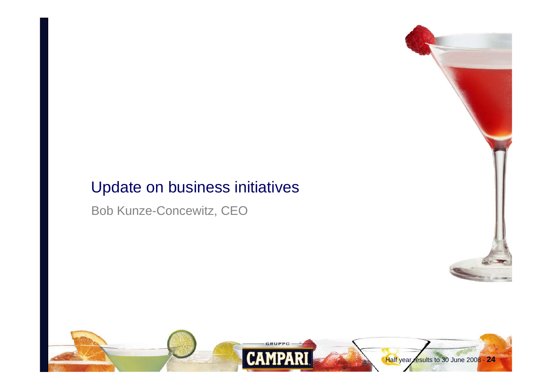## Update on business initiatives

Bob Kunze-Concewitz, CEO



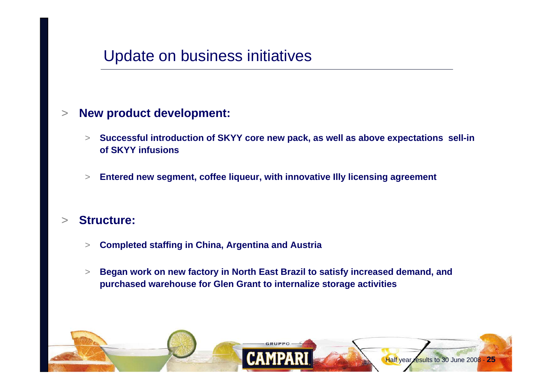## Update on business initiatives

#### >**New product development:**

- > **Successful introduction of SKYY core new pack, as well as above expectations sell-in of SKYY infusions**
- >**Entered new segment, coffee liqueur, with innovative Illy licensing agreement**

#### >**Structure:**

- > **Completed staffing in China, Argentina and Austria**
- > **Began work on new factory in North East Brazil to satisfy increased demand, and purchased warehouse for Glen Grant to internalize storage activities**

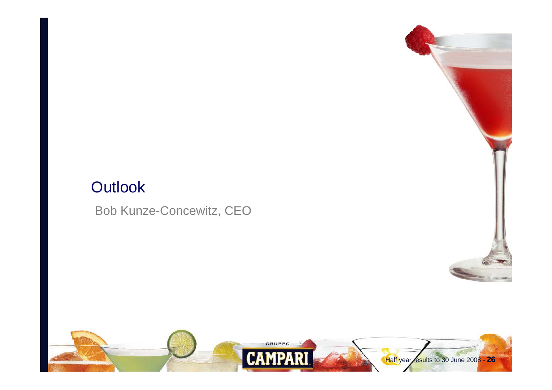## **Outlook**

Bob Kunze-Concewitz, CEO

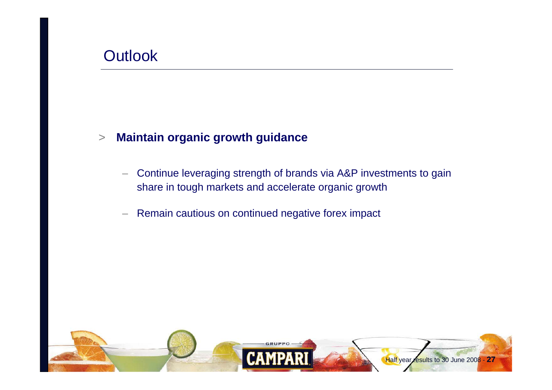## **Outlook**

#### >**Maintain organic growth guidance**

- – Continue leveraging strength of brands via A&P investments to gain share in tough markets and accelerate organic growth
- –Remain cautious on continued negative forex impact

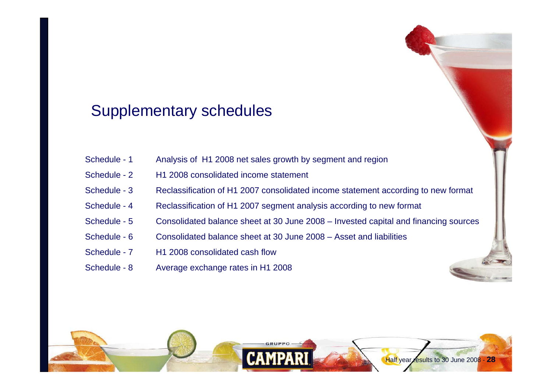## Supplementary schedules

| Schedule - 1 | Analysis of H1 2008 net sales growth by segment and region                          |  |
|--------------|-------------------------------------------------------------------------------------|--|
| Schedule - 2 | H <sub>1</sub> 2008 consolidated income statement                                   |  |
| Schedule - 3 | Reclassification of H1 2007 consolidated income statement according to new format   |  |
| Schedule - 4 | Reclassification of H1 2007 segment analysis according to new format                |  |
| Schedule - 5 | Consolidated balance sheet at 30 June 2008 – Invested capital and financing sources |  |
| Schedule - 6 | Consolidated balance sheet at 30 June 2008 – Asset and liabilities                  |  |
| Schedule - 7 | H <sub>1</sub> 2008 consolidated cash flow                                          |  |
| Schedule - 8 | Average exchange rates in H1 2008                                                   |  |

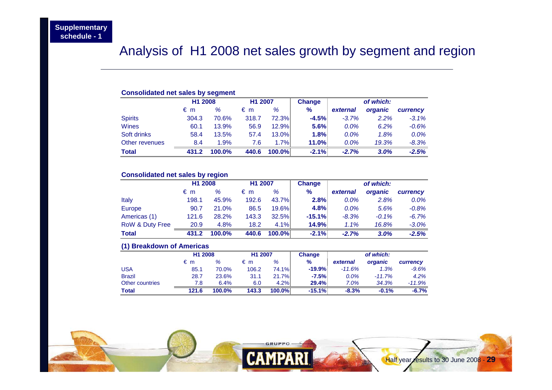### Analysis of H1 2008 net sales growth by segment and region

#### **Consolidated net sales by segment H1 2008 H1 2007 Change** *of which:* € m *%* € m *%* **%** *external organic currency* Spirits 304.3 70.6% 318.7 72.3% **-4.5%** *-3.7% 2.2% -3.1%* Wines 60.1 13.9% 56.9 12.9% **5.6%** *0.0% 6.2% -0.6%* Soft drinks 58.4 13.5% 57.4 13.0% **1.8%** *0.0% 1.8% 0.0%* Other revenues 8.4 1.9% 7.6 1.7% **11.0%** *0.0% 19.3% -8.3%* **Total 431.2 100.0% 440.6 100.0% -2.1%** *-2.7% 3.0% -2.5%* $-2.5%$

#### **Consolidated net sales by region**

|                            | H <sub>1</sub> 2008 |        | H1 2007 |              | <b>Change</b> |          | of which: |          |
|----------------------------|---------------------|--------|---------|--------------|---------------|----------|-----------|----------|
|                            | €m                  | %      | €m      | %            | %             | external | organic   | currency |
| Italy                      | 198.1               | 45.9%  | 192.6   | 43.7%        | 2.8%          | 0.0%     | 2.8%      | $0.0\%$  |
| Europe                     | 90.7                | 21.0%  | 86.5    | 19.6%        | 4.8%          | $0.0\%$  | 5.6%      | $-0.8%$  |
| Americas (1)               | 121.6               | 28.2%  | 143.3   | <b>32.5%</b> | $-15.1\%$     | $-8.3%$  | $-0.1%$   | $-6.7%$  |
| <b>RoW &amp; Duty Free</b> | 20.9                | 4.8%   | 18.2    | 4.1%         | 14.9%         | 1.1%     | 16.8%     | $-3.0%$  |
| <b>Total</b>               | 431.2               | 100.0% | 440.6   | 100.0%       | $-2.1%$       | $-2.7%$  | 3.0%      | $-2.5%$  |

#### **(1) Breakdown of Americas**

|                 | H <sub>1</sub> 2008 |        | H <sub>1</sub> 2007 |           | Change   |          | of which: |          |
|-----------------|---------------------|--------|---------------------|-----------|----------|----------|-----------|----------|
|                 | €m                  | %      | €m                  | %         | %        | external | organic   | currency |
| USA             | 85.1                | 70.0%  | 106.2               | 74.1%I    | $-19.9%$ | $-11.6%$ | 1.3%      | $-9.6%$  |
| <b>Brazil</b>   | 28.7                | 23.6%  | 31.1                | 21.7%     | $-7.5%$  | 0.0%     | $-11.7%$  | 4.2%     |
| Other countries | 7.8                 | 6.4%   | 6.0                 | 4.2%      | 29.4%    | 7.0%     | 34.3%     | $-11.9%$ |
| Total           | 121.6               | 100.0% | 143.3               | $100.0\%$ | $-15.1%$ | $-8.3%$  | $-0.1%$   | $-6.7%$  |

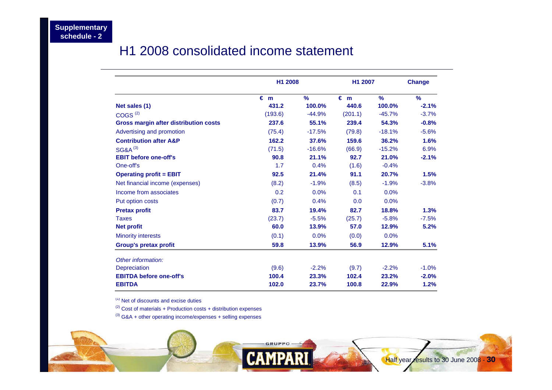### H1 2008 consolidated income statement

|                                       | H1 2008      |               | H1 2007      |               | <b>Change</b> |
|---------------------------------------|--------------|---------------|--------------|---------------|---------------|
|                                       | $\epsilon$ m | $\frac{9}{6}$ | $\epsilon$ m | $\frac{9}{6}$ | $\frac{9}{6}$ |
| Net sales (1)                         | 431.2        | 100.0%        | 440.6        | 100.0%        | $-2.1%$       |
| COGS <sup>(2)</sup>                   | (193.6)      | $-44.9%$      | (201.1)      | $-45.7%$      | $-3.7%$       |
| Gross margin after distribution costs | 237.6        | 55.1%         | 239.4        | 54.3%         | $-0.8%$       |
| Advertising and promotion             | (75.4)       | $-17.5%$      | (79.8)       | $-18.1%$      | $-5.6%$       |
| <b>Contribution after A&amp;P</b>     | 162.2        | 37.6%         | 159.6        | 36.2%         | 1.6%          |
| <b>SG&amp;A<sup>(3)</sup></b>         | (71.5)       | $-16.6%$      | (66.9)       | $-15.2%$      | 6.9%          |
| <b>EBIT before one-off's</b>          | 90.8         | 21.1%         | 92.7         | 21.0%         | $-2.1%$       |
| One-off's                             | 1.7          | 0.4%          | (1.6)        | $-0.4%$       |               |
| <b>Operating profit = EBIT</b>        | 92.5         | 21.4%         | 91.1         | 20.7%         | 1.5%          |
| Net financial income (expenses)       | (8.2)        | $-1.9%$       | (8.5)        | $-1.9%$       | $-3.8%$       |
| Income from associates                | 0.2          | 0.0%          | 0.1          | 0.0%          |               |
| Put option costs                      | (0.7)        | 0.4%          | 0.0          | 0.0%          |               |
| <b>Pretax profit</b>                  | 83.7         | 19.4%         | 82.7         | 18.8%         | 1.3%          |
| <b>Taxes</b>                          | (23.7)       | $-5.5%$       | (25.7)       | $-5.8%$       | $-7.5%$       |
| <b>Net profit</b>                     | 60.0         | 13.9%         | 57.0         | 12.9%         | 5.2%          |
| <b>Minority interests</b>             | (0.1)        | 0.0%          | (0.0)        | 0.0%          |               |
| Group's pretax profit                 | 59.8         | 13.9%         | 56.9         | 12.9%         | 5.1%          |
| Other information:                    |              |               |              |               |               |
| <b>Depreciation</b>                   | (9.6)        | $-2.2%$       | (9.7)        | $-2.2%$       | $-1.0%$       |
| <b>EBITDA before one-off's</b>        | 100.4        | 23.3%         | 102.4        | 23.2%         | $-2.0%$       |
| <b>EBITDA</b>                         | 102.0        | 23.7%         | 100.8        | 22.9%         | 1.2%          |

(1) Net of discounts and excise duties

 $(2)$  Cost of materials + Production costs + distribution expenses

 $(3)$  G&A + other operating income/expenses + selling expenses

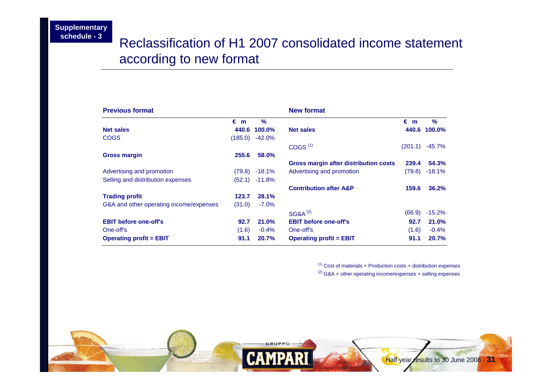### Reclassification of H1 2007 consolidated income statement according to new format

| <b>Previous format</b>                  |              |                 | <b>New format</b>                     |              |               |
|-----------------------------------------|--------------|-----------------|---------------------------------------|--------------|---------------|
|                                         | $\epsilon$ m | $\frac{9}{6}$   |                                       | $\epsilon$ m | $\frac{9}{6}$ |
| <b>Net sales</b>                        | 440.6        | 100.0%          | <b>Net sales</b>                      |              | 440.6 100.0%  |
| <b>COGS</b>                             | (185.0)      | $-42.0%$        |                                       |              |               |
|                                         |              |                 | COGS <sup>(1)</sup>                   | (201.1)      | -45.7%        |
| <b>Gross margin</b>                     | 255.6        | 58.0%           |                                       |              |               |
|                                         |              |                 | Gross margin after distribution costs | 239.4        | 54.3%         |
| Advertising and promotion               |              | $(79.8)$ -18.1% | Advertising and promotion             | (79.8)       | $-18.1%$      |
| Selling and distribution expenses       | (52.1)       | $-11.8%$        |                                       |              |               |
|                                         |              |                 | <b>Contribution after A&amp;P</b>     | 159.6        | 36.2%         |
| <b>Trading profit</b>                   | 123.7        | 28.1%           |                                       |              |               |
| G&A and other operating income/expenses | (31.0)       | $-7.0\%$        |                                       |              |               |
|                                         |              |                 | <b>SG&amp;A<sup>(2)</sup></b>         | (66.9)       | $-15.2%$      |
| <b>EBIT before one-off's</b>            | 92.7         | 21.0%           | <b>EBIT before one-off's</b>          | 92.7         | 21.0%         |
| One-off's                               | (1.6)        | $-0.4\%$        | One-off's                             | (1.6)        | $-0.4%$       |
| <b>Operating profit = EBIT</b>          | 91.1         | 20.7%           | <b>Operating profit = EBIT</b>        | 91.1         | 20.7%         |

 $(1)$  Cost of materials + Production costs + distribution expenses  $(2)$  G&A + other operating income/expenses + selling expenses

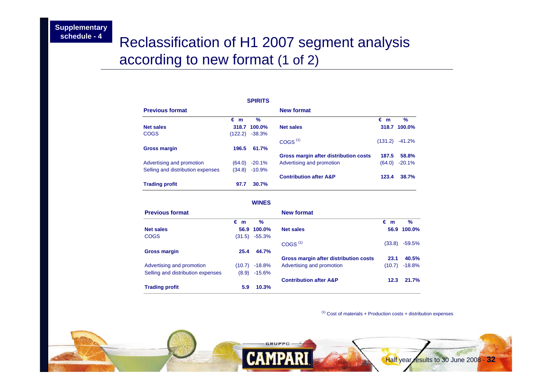## Reclassification of H1 2007 segment analysis according to new format (1 of 2)

|                                   |              | <b>SPIRITS</b> |                                       |              |          |
|-----------------------------------|--------------|----------------|---------------------------------------|--------------|----------|
| <b>Previous format</b>            |              |                | <b>New format</b>                     |              |          |
|                                   | $\epsilon$ m | $\frac{9}{6}$  |                                       | $\epsilon$ m | $\%$     |
| <b>Net sales</b>                  | 318.7        | $100.0\%$      | <b>Net sales</b>                      | 318.7        | 100.0%   |
| COGS                              | (122.2)      | $-38.3%$       |                                       |              |          |
|                                   |              |                | COGS <sup>(1)</sup>                   | (131.2)      | $-41.2%$ |
| <b>Gross margin</b>               | 196.5        | 61.7%          |                                       |              |          |
|                                   |              |                | Gross margin after distribution costs | 187.5        | 58.8%    |
| Advertising and promotion         | (64.0)       | $-20.1%$       | Advertising and promotion             | (64.0)       | $-20.1%$ |
| Selling and distribution expenses | (34.8)       | $-10.9%$       |                                       |              |          |
|                                   |              |                | <b>Contribution after A&amp;P</b>     | 123.4        | 38.7%    |
| <b>Trading profit</b>             | 97.7         | 30.7%          |                                       |              |          |

#### **WINES**

| <b>Previous format</b>            |              |                 | New format                            |              |               |
|-----------------------------------|--------------|-----------------|---------------------------------------|--------------|---------------|
|                                   | $\epsilon$ m | $\frac{9}{6}$   |                                       | $\epsilon$ m | $\frac{9}{6}$ |
| <b>Net sales</b>                  |              | 56.9 100.0%     | <b>Net sales</b>                      |              | 56.9 100.0%   |
| <b>COGS</b>                       | (31.5)       | $-55.3\%$       |                                       |              |               |
|                                   |              |                 | COGS <sup>(1)</sup>                   | (33.8)       | $-59.5%$      |
| <b>Gross margin</b>               | 25.4         | 44.7%           |                                       |              |               |
|                                   |              |                 | Gross margin after distribution costs | 23.1         | 40.5%         |
| Advertising and promotion         |              | $(10.7)$ -18.8% | Advertising and promotion             | (10.7)       | $-18.8%$      |
| Selling and distribution expenses | (8.9)        | $-15.6%$        |                                       |              |               |
|                                   |              |                 | <b>Contribution after A&amp;P</b>     | 12.3         | 21.7%         |
| <b>Trading profit</b>             | 5.9          | 10.3%           |                                       |              |               |

 $(1)$  Cost of materials + Production costs + distribution expenses

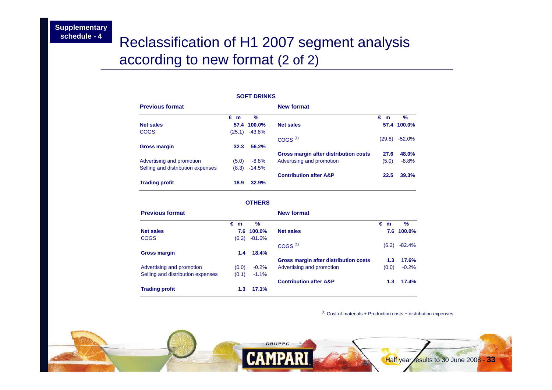## Reclassification of H1 2007 segment analysis according to new format (2 of 2)

#### **SOFT DRINKS**

| <b>Previous format</b>            |        |               | <b>New format</b>                     |                 |               |
|-----------------------------------|--------|---------------|---------------------------------------|-----------------|---------------|
|                                   | €m     | $\frac{9}{6}$ |                                       | $\varepsilon$ m | $\frac{9}{6}$ |
| <b>Net sales</b>                  |        | 57.4 100.0%   | <b>Net sales</b>                      |                 | 57.4 100.0%   |
| <b>COGS</b>                       | (25.1) | -43.8%        |                                       |                 |               |
|                                   |        |               | COGS <sup>(1)</sup>                   | (29.8)          | $-52.0%$      |
| <b>Gross margin</b>               | 32.3   | 56.2%         |                                       |                 |               |
|                                   |        |               | Gross margin after distribution costs | 27.6            | 48.0%         |
| Advertising and promotion         | (5.0)  | $-8.8\%$      | Advertising and promotion             | (5.0)           | $-8.8%$       |
| Selling and distribution expenses | (8.3)  | $-14.5%$      |                                       |                 |               |
|                                   |        |               | <b>Contribution after A&amp;P</b>     | 22.5            | 39.3%         |
| <b>Trading profit</b>             | 18.9   | 32.9%         |                                       |                 |               |

#### **OTHERS**

| <b>Previous format</b>            |       |            | <b>New format</b>                     |       |            |
|-----------------------------------|-------|------------|---------------------------------------|-------|------------|
|                                   | €m    | %          |                                       | €m    | $\%$       |
| <b>Net sales</b>                  |       | 7.6 100.0% | <b>Net sales</b>                      |       | 7.6 100.0% |
| <b>COGS</b>                       | (6.2) | $-81.6%$   |                                       |       |            |
|                                   |       |            | COGS <sup>(1)</sup>                   | (6.2) | $-82.4%$   |
| <b>Gross margin</b>               | 1.4   | 18.4%      |                                       |       |            |
|                                   |       |            | Gross margin after distribution costs | 1.3   | 17.6%      |
| Advertising and promotion         | (0.0) | $-0.2%$    | Advertising and promotion             | (0.0) | $-0.2%$    |
| Selling and distribution expenses | (0.1) | $-1.1%$    |                                       |       |            |
|                                   |       |            | <b>Contribution after A&amp;P</b>     | 1.3   | 17.4%      |
| <b>Trading profit</b>             | 1.3   | 17.1%      |                                       |       |            |

 $(1)$  Cost of materials + Production costs + distribution expenses

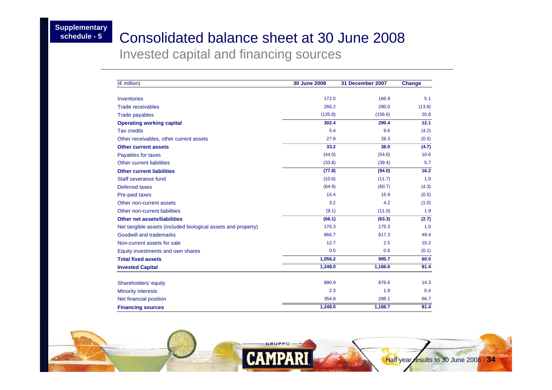### Consolidated balance sheet at 30 June 2008

Invested capital and financing sources

| $(\epsilon$ million)                                          | <b>30 June 2008</b> | 31 December 2007 | <b>Change</b> |
|---------------------------------------------------------------|---------------------|------------------|---------------|
| <b>Inventories</b>                                            | 172.0               | 166.9            | 5.1           |
| <b>Trade receivables</b>                                      | 266.2               | 280.0            | (13.8)        |
| <b>Trade payables</b>                                         | (135.8)             | (156.6)          | 20.8          |
| <b>Operating working capital</b>                              | 302.4               | 290.4            | 12.1          |
| <b>Tax credits</b>                                            | 5.4                 | 9.6              | (4.2)         |
| Other receivables, other current assets                       | 27.8                | 28.3             | (0.5)         |
| <b>Other current assets</b>                                   | 33.2                | 38.0             | (4.7)         |
| Payables for taxes                                            | (44.0)              | (54.6)           | 10.6          |
| <b>Other current liabilities</b>                              | (33.8)              | (39.4)           | 5.7           |
| <b>Other current liabilities</b>                              | (77.8)              | (94.0)           | 16.2          |
| Staff severance fund                                          | (10.6)              | (11.7)           | 1.0           |
| Deferred taxes                                                | (64.9)              | (60.7)           | (4.3)         |
| Pre-paid taxes                                                | 15.4                | 15.9             | (0.5)         |
| Other non-current assets                                      | 3.2                 | 4.2              | (1.0)         |
| Other non-current liabilities                                 | (9.1)               | (11.0)           | 1.9           |
| <b>Other net assets/liabilities</b>                           | (66.1)              | (63.3)           | (2.7)         |
| Net tangible assets (included biological assets and property) | 176.3               | 175.3            | 1.0           |
| <b>Goodwill and trademarks</b>                                | 866.7               | 817.3            | 49.4          |
| Non-current assets for sale                                   | 12.7                | 2.5              | 10.2          |
| Equity investments and own shares                             | 0.5                 | 0.6              | (0.1)         |
| <b>Total fixed assets</b>                                     | 1,056.2             | 995.7            | 60.5          |
| <b>Invested Capital</b>                                       | 1,248.0             | 1,166.6          | 81.4          |
| Shareholders' equity                                          | 890.9               | 876.6            | 14.3          |
| <b>Minority interests</b>                                     | 2.3                 | 1.9              | 0.4           |
| Net financial position                                        | 354.8               | 288.1            | 66.7          |
| <b>Financing sources</b>                                      | 1,248.0             | 1,166.7          | 81.4          |

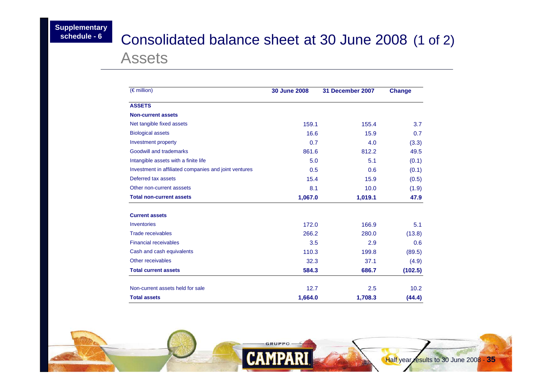## <sup>6</sup> Consolidated balance sheet at 30 June 2008 (1 of 2) Assets

| $(\epsilon$ million)                                  | 30 June 2008 | 31 December 2007 | <b>Change</b> |
|-------------------------------------------------------|--------------|------------------|---------------|
| <b>ASSETS</b>                                         |              |                  |               |
| <b>Non-current assets</b>                             |              |                  |               |
| Net tangible fixed assets                             | 159.1        | 155.4            | 3.7           |
| <b>Biological assets</b>                              | 16.6         | 15.9             | 0.7           |
| Investment property                                   | 0.7          | 4.0              | (3.3)         |
| Goodwill and trademarks                               | 861.6        | 812.2            | 49.5          |
| Intangible assets with a finite life                  | 5.0          | 5.1              | (0.1)         |
| Investment in affiliated companies and joint ventures | 0.5          | 0.6              | (0.1)         |
| Deferred tax assets                                   | 15.4         | 15.9             | (0.5)         |
| Other non-current asssets                             | 8.1          | 10.0             | (1.9)         |
| <b>Total non-current assets</b>                       | 1,067.0      | 1,019.1          | 47.9          |
| <b>Current assets</b>                                 |              |                  |               |
| Inventories                                           | 172.0        | 166.9            | 5.1           |
| <b>Trade receivables</b>                              | 266.2        | 280.0            | (13.8)        |
| <b>Financial receivables</b>                          | 3.5          | 2.9              | 0.6           |
| Cash and cash equivalents                             | 110.3        | 199.8            | (89.5)        |
| Other receivables                                     | 32.3         | 37.1             | (4.9)         |
| <b>Total current assets</b>                           | 584.3        | 686.7            | (102.5)       |
| Non-current assets held for sale                      | 12.7         | 2.5              | 10.2          |
| <b>Total assets</b>                                   | 1,664.0      | 1,708.3          | (44.4)        |

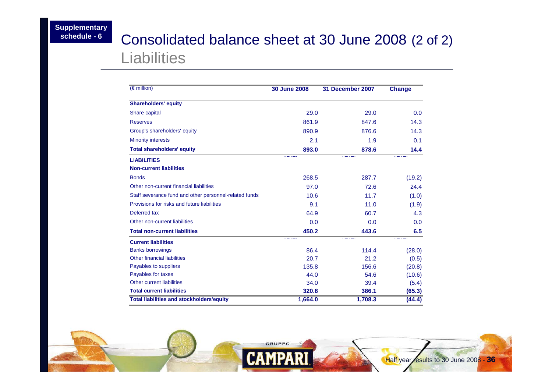## <sup>6</sup> Consolidated balance sheet at 30 June 2008 (2 of 2) Liabilities

| $(\in$ million)                                        | 30 June 2008 | 31 December 2007 | <b>Change</b> |
|--------------------------------------------------------|--------------|------------------|---------------|
| <b>Shareholders' equity</b>                            |              |                  |               |
| Share capital                                          | 29.0         | 29.0             | 0.0           |
| <b>Reserves</b>                                        | 861.9        | 847.6            | 14.3          |
| Group's shareholders' equity                           | 890.9        | 876.6            | 14.3          |
| <b>Minority interests</b>                              | 2.1          | 1.9              | 0.1           |
| <b>Total shareholders' equity</b>                      | 893.0        | 878.6            | 14.4          |
| <b>LIABILITIES</b>                                     |              |                  |               |
| <b>Non-current liabilities</b>                         |              |                  |               |
| <b>Bonds</b>                                           | 268.5        | 287.7            | (19.2)        |
| Other non-current financial liabilities                | 97.0         | 72.6             | 24.4          |
| Staff severance fund and other personnel-related funds | 10.6         | 11.7             | (1.0)         |
| Provisions for risks and future liabilities            | 9.1          | 11.0             | (1.9)         |
| Deferred tax                                           | 64.9         | 60.7             | 4.3           |
| Other non-current liabilities                          | 0.0          | 0.0              | 0.0           |
| <b>Total non-current liabilities</b>                   | 450.2        | 443.6            | 6.5           |
| <b>Current liabilities</b>                             |              |                  |               |
| <b>Banks borrowings</b>                                | 86.4         | 114.4            | (28.0)        |
| <b>Other financial liabilities</b>                     | 20.7         | 21.2             | (0.5)         |
| Payables to suppliers                                  | 135.8        | 156.6            | (20.8)        |
| Payables for taxes                                     | 44.0         | 54.6             | (10.6)        |
| Other current liabilities                              | 34.0         | 39.4             | (5.4)         |
| <b>Total current liabilities</b>                       | 320.8        | 386.1            | (65.3)        |
| <b>Total liabilities and stockholders'equity</b>       | 1,664.0      | 1,708.3          | (44.4)        |

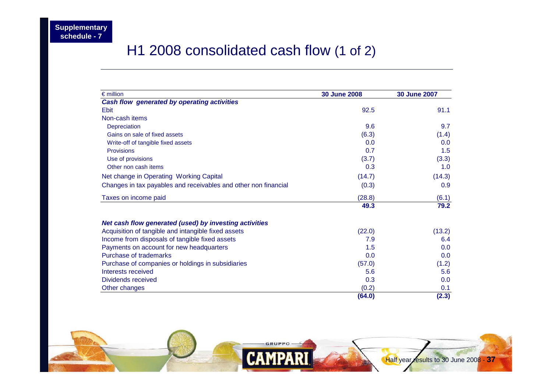## H1 2008 consolidated cash flow (1 of 2)

| $\epsilon$ million                                              | <b>30 June 2008</b> | <b>30 June 2007</b> |
|-----------------------------------------------------------------|---------------------|---------------------|
| Cash flow generated by operating activities                     |                     |                     |
| <b>Ebit</b>                                                     | 92.5                | 91.1                |
| Non-cash items                                                  |                     |                     |
| Depreciation                                                    | 9.6                 | 9.7                 |
| Gains on sale of fixed assets                                   | (6.3)               | (1.4)               |
| Write-off of tangible fixed assets                              | 0.0                 | 0.0                 |
| <b>Provisions</b>                                               | 0.7                 | 1.5                 |
| Use of provisions                                               | (3.7)               | (3.3)               |
| Other non cash items                                            | 0.3                 | 1.0                 |
| Net change in Operating Working Capital                         | (14.7)              | (14.3)              |
| Changes in tax payables and receivables and other non financial | (0.3)               | 0.9                 |
| Taxes on income paid                                            | (28.8)              | (6.1)               |
|                                                                 | 49.3                | 79.2                |
| Net cash flow generated (used) by investing activities          |                     |                     |
| Acquisition of tangible and intangible fixed assets             | (22.0)              | (13.2)              |
| Income from disposals of tangible fixed assets                  | 7.9                 | 6.4                 |
| Payments on account for new headquarters                        | 1.5                 | 0.0                 |
| Purchase of trademarks                                          | 0.0                 | 0.0                 |
| Purchase of companies or holdings in subsidiaries               | (57.0)              | (1.2)               |
| Interests received                                              | 5.6                 | 5.6                 |
| Dividends received                                              | 0.3                 | 0.0                 |
| Other changes                                                   | (0.2)               | 0.1                 |
|                                                                 | (64.0)              | (2.3)               |

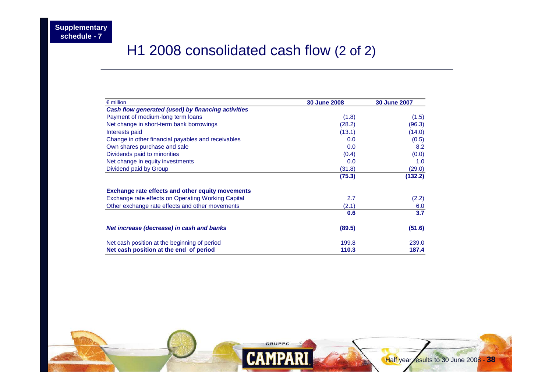## H1 2008 consolidated cash flow (2 of 2)

| $\epsilon$ million                                        | <b>30 June 2008</b> | <b>30 June 2007</b> |
|-----------------------------------------------------------|---------------------|---------------------|
| Cash flow generated (used) by financing activities        |                     |                     |
| Payment of medium-long term loans                         | (1.8)               | (1.5)               |
| Net change in short-term bank borrowings                  | (28.2)              | (96.3)              |
| Interests paid                                            | (13.1)              | (14.0)              |
| Change in other financial payables and receivables        | 0.0                 | (0.5)               |
| Own shares purchase and sale                              | 0.0                 | 8.2                 |
| Dividends paid to minorities                              | (0.4)               | (0.0)               |
| Net change in equity investments                          | 0.0                 | 1.0                 |
| Dividend paid by Group                                    | (31.8)              | (29.0)              |
|                                                           | (75.3)              | (132.2)             |
| <b>Exchange rate effects and other equity movements</b>   |                     |                     |
| <b>Exchange rate effects on Operating Working Capital</b> | 2.7                 | (2.2)               |
| Other exchange rate effects and other movements           | (2.1)               | 6.0                 |
|                                                           | 0.6                 | 3.7                 |
| Net increase (decrease) in cash and banks                 | (89.5)              | (51.6)              |
| Net cash position at the beginning of period              | 199.8               | 239.0               |
| Net cash position at the end of period                    | 110.3               | 187.4               |

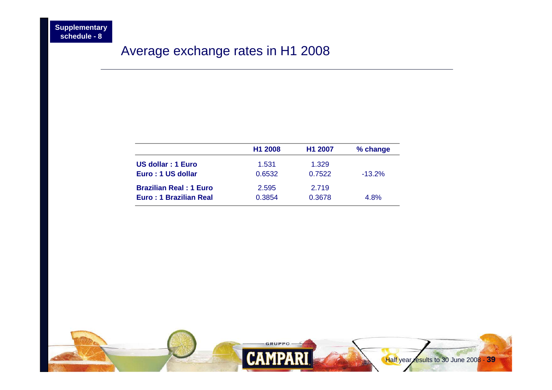### Average exchange rates in H1 2008

|                               | H <sub>1</sub> 2008 | H <sub>1</sub> 2007 | % change  |
|-------------------------------|---------------------|---------------------|-----------|
| US dollar: 1 Euro             | 1.531               | 1.329               |           |
| Euro: 1 US dollar             | 0.6532              | 0.7522              | $-13.2\%$ |
| <b>Brazilian Real: 1 Euro</b> | 2.595               | 2.719               |           |
| Euro: 1 Brazilian Real        | 0.3854              | 0.3678              | 4.8%      |